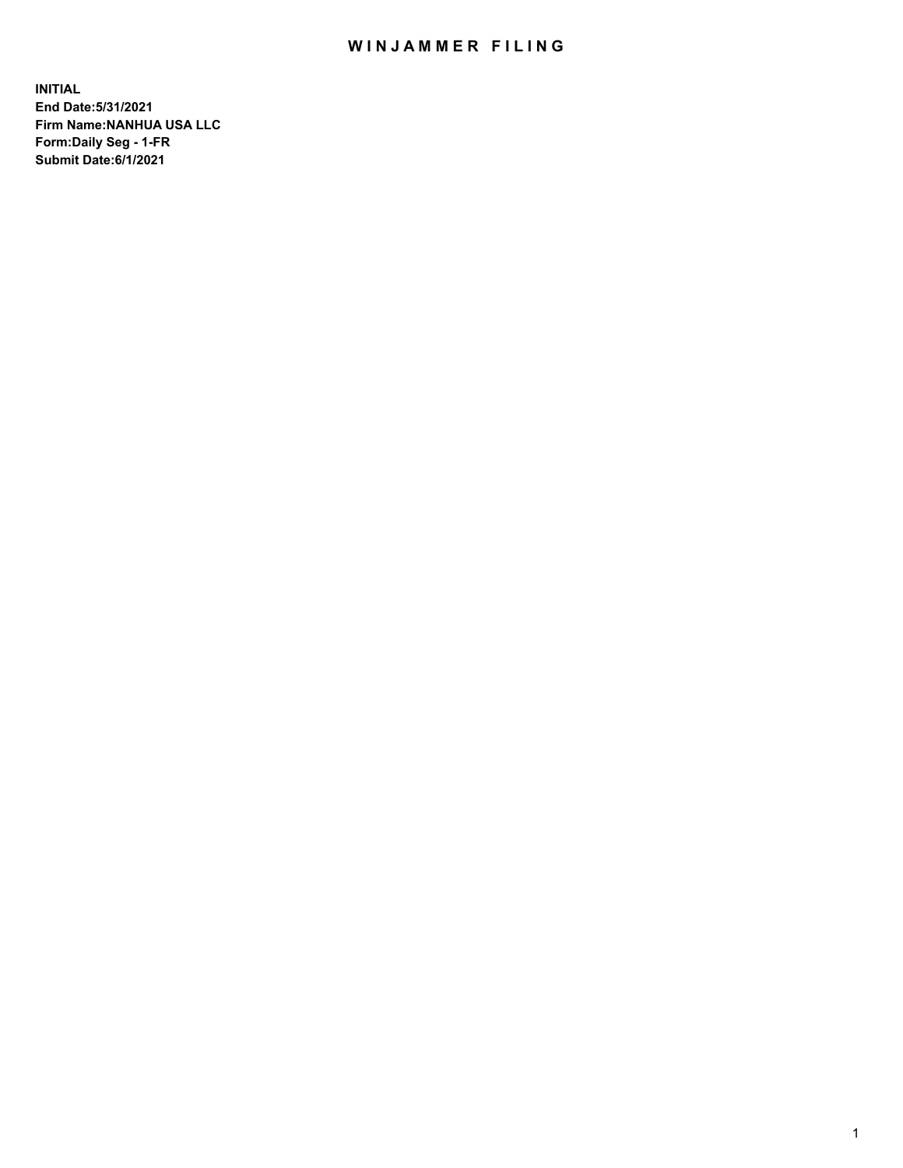## WIN JAMMER FILING

**INITIAL End Date:5/31/2021 Firm Name:NANHUA USA LLC Form:Daily Seg - 1-FR Submit Date:6/1/2021**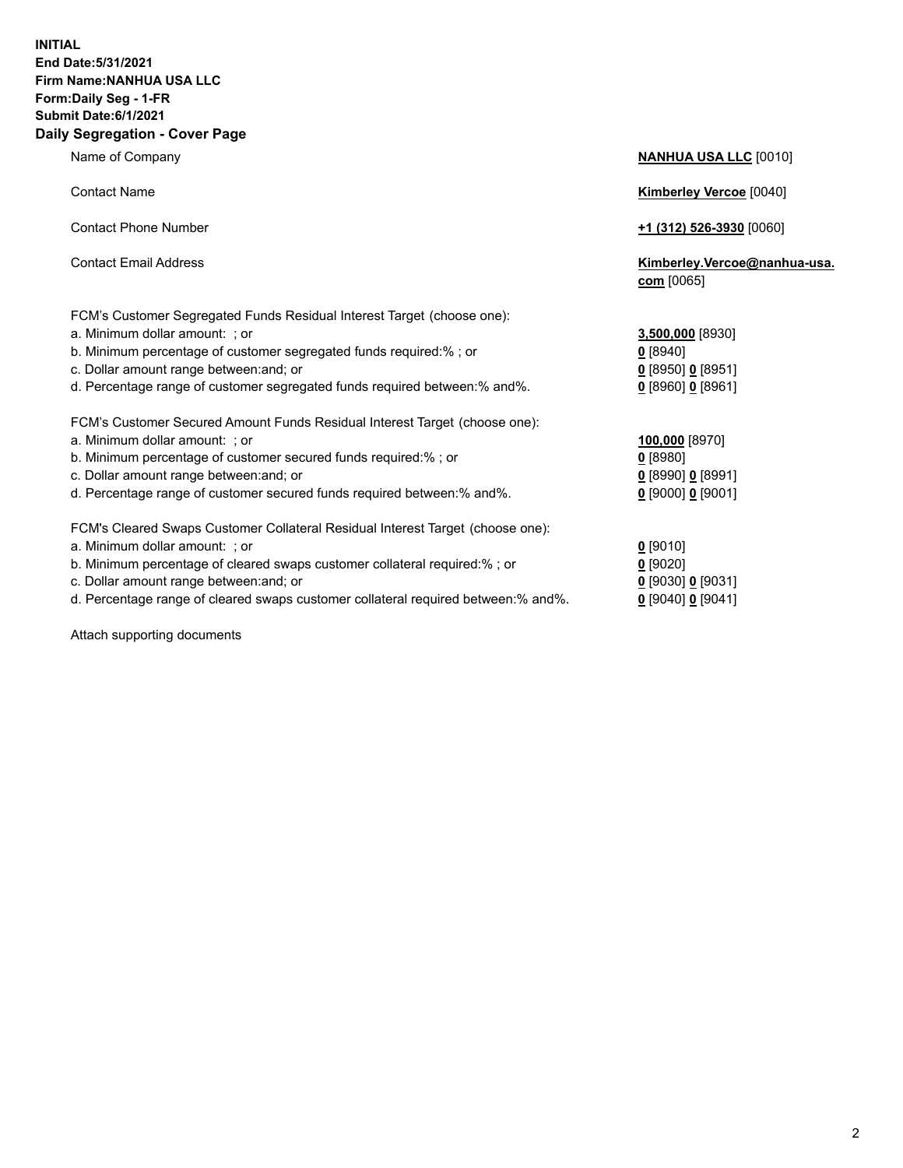## **INITIAL End Date:5/31/2021 Firm Name:NANHUA USA LLC Form:Daily Seg - 1-FR Submit Date:6/1/2021 Daily Segregation - Cover Page**

|                                                                                | $\frac{1}{2}$                              |
|--------------------------------------------------------------------------------|--------------------------------------------|
| <b>Contact Name</b>                                                            | <b>Kimberley Vercoe [0040]</b>             |
| <b>Contact Phone Number</b>                                                    | $+1$ (312) 526-3930 [0060]                 |
| <b>Contact Email Address</b>                                                   | Kimberley.Vercoe@nanhua-usa.<br>com [0065] |
| FCM's Customer Segregated Funds Residual Interest Target (choose one):         |                                            |
| a. Minimum dollar amount: ; or                                                 | 3,500,000 [8930]                           |
| b. Minimum percentage of customer segregated funds required:%; or              | 0 [8940]                                   |
| c. Dollar amount range between: and; or                                        | $0$ [8950] $0$ [8951]                      |
| d. Percentage range of customer segregated funds required between: % and %.    | $0$ [8960] 0 [8961]                        |
| FCM's Customer Secured Amount Funds Residual Interest Target (choose one):     |                                            |
| a. Minimum dollar amount: ; or                                                 | 100,000 [8970]                             |
| b. Minimum percentage of customer secured funds required:%; or                 | $0$ [8980]                                 |
| c. Dollar amount range between: and; or                                        | $0$ [8990] 0 [8991]                        |
| d. Percentage range of customer secured funds required between:% and%.         | $0$ [9000] 0 [9001]                        |
| FCM's Cleared Swaps Customer Collateral Residual Interest Target (choose one): |                                            |
| a. Minimum dollar amount: ; or                                                 | $0$ [9010]                                 |
| b. Minimum percentage of cleared swaps customer collateral required:%; or      | $0$ [9020]                                 |
|                                                                                |                                            |

- c. Dollar amount range between:and; or **0** [9030] **0** [9031]
- d. Percentage range of cleared swaps customer collateral required between:% and%. **0** [9040] **0** [9041]

Attach supporting documents

**Name of Company <b>NANHUA USA LLC** [0010]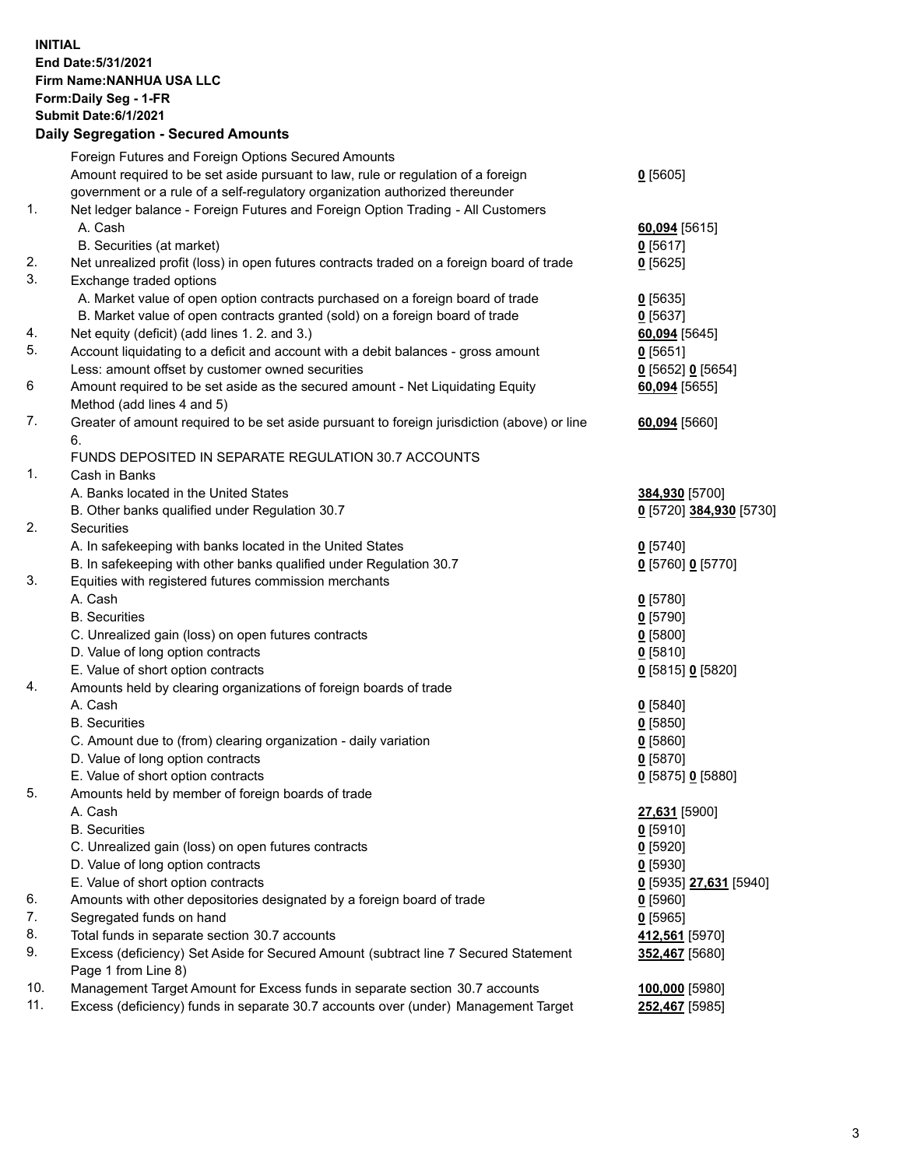## **INITIAL End Date:5/31/2021 Firm Name:NANHUA USA LLC Form:Daily Seg - 1-FR Submit Date:6/1/2021 Daily Segregation - Secured Amounts**

|     | Foreign Futures and Foreign Options Secured Amounts                                                        |                         |
|-----|------------------------------------------------------------------------------------------------------------|-------------------------|
|     | Amount required to be set aside pursuant to law, rule or regulation of a foreign                           | $0$ [5605]              |
|     | government or a rule of a self-regulatory organization authorized thereunder                               |                         |
| 1.  | Net ledger balance - Foreign Futures and Foreign Option Trading - All Customers                            |                         |
|     | A. Cash                                                                                                    | 60,094 [5615]           |
|     | B. Securities (at market)                                                                                  | $0$ [5617]              |
| 2.  | Net unrealized profit (loss) in open futures contracts traded on a foreign board of trade                  | $0$ [5625]              |
| 3.  | Exchange traded options                                                                                    |                         |
|     | A. Market value of open option contracts purchased on a foreign board of trade                             | $0$ [5635]              |
|     | B. Market value of open contracts granted (sold) on a foreign board of trade                               | $0$ [5637]              |
| 4.  | Net equity (deficit) (add lines 1. 2. and 3.)                                                              | 60,094 [5645]           |
| 5.  | Account liquidating to a deficit and account with a debit balances - gross amount                          | 0[5651]                 |
|     | Less: amount offset by customer owned securities                                                           | 0 [5652] 0 [5654]       |
| 6   | Amount required to be set aside as the secured amount - Net Liquidating Equity                             | 60,094 [5655]           |
|     | Method (add lines 4 and 5)                                                                                 |                         |
| 7.  | Greater of amount required to be set aside pursuant to foreign jurisdiction (above) or line                | 60,094 [5660]           |
|     | 6.                                                                                                         |                         |
|     | FUNDS DEPOSITED IN SEPARATE REGULATION 30.7 ACCOUNTS                                                       |                         |
| 1.  | Cash in Banks                                                                                              |                         |
|     | A. Banks located in the United States                                                                      | 384,930 [5700]          |
|     | B. Other banks qualified under Regulation 30.7                                                             | 0 [5720] 384,930 [5730] |
| 2.  | Securities                                                                                                 |                         |
|     | A. In safekeeping with banks located in the United States                                                  | $0$ [5740]              |
|     | B. In safekeeping with other banks qualified under Regulation 30.7                                         | 0 [5760] 0 [5770]       |
| 3.  | Equities with registered futures commission merchants                                                      |                         |
|     | A. Cash                                                                                                    | $0$ [5780]              |
|     | <b>B.</b> Securities                                                                                       | $0$ [5790]              |
|     | C. Unrealized gain (loss) on open futures contracts                                                        | $0$ [5800]              |
|     | D. Value of long option contracts                                                                          | $0$ [5810]              |
|     | E. Value of short option contracts                                                                         | 0 [5815] 0 [5820]       |
| 4.  | Amounts held by clearing organizations of foreign boards of trade                                          |                         |
|     | A. Cash                                                                                                    | $Q$ [5840]              |
|     | <b>B.</b> Securities                                                                                       | $0$ [5850]              |
|     | C. Amount due to (from) clearing organization - daily variation                                            | 0[5860]                 |
|     | D. Value of long option contracts                                                                          | $0$ [5870]              |
|     | E. Value of short option contracts                                                                         | 0 [5875] 0 [5880]       |
| 5.  | Amounts held by member of foreign boards of trade                                                          |                         |
|     | A. Cash                                                                                                    | 27,631 [5900]           |
|     | <b>B.</b> Securities                                                                                       | $0$ [5910]              |
|     | C. Unrealized gain (loss) on open futures contracts                                                        | $0$ [5920]              |
|     | D. Value of long option contracts                                                                          | $0$ [5930]              |
|     | E. Value of short option contracts                                                                         | 0 [5935] 27,631 [5940]  |
| 6.  | Amounts with other depositories designated by a foreign board of trade                                     | $0$ [5960]              |
| 7.  | Segregated funds on hand                                                                                   | $0$ [5965]              |
| 8.  | Total funds in separate section 30.7 accounts                                                              | 412,561 [5970]          |
| 9.  | Excess (deficiency) Set Aside for Secured Amount (subtract line 7 Secured Statement<br>Page 1 from Line 8) | 352,467 [5680]          |
| 10. | Management Target Amount for Excess funds in separate section 30.7 accounts                                | 100,000 [5980]          |
| 11. | Excess (deficiency) funds in separate 30.7 accounts over (under) Management Target                         | 252,467 [5985]          |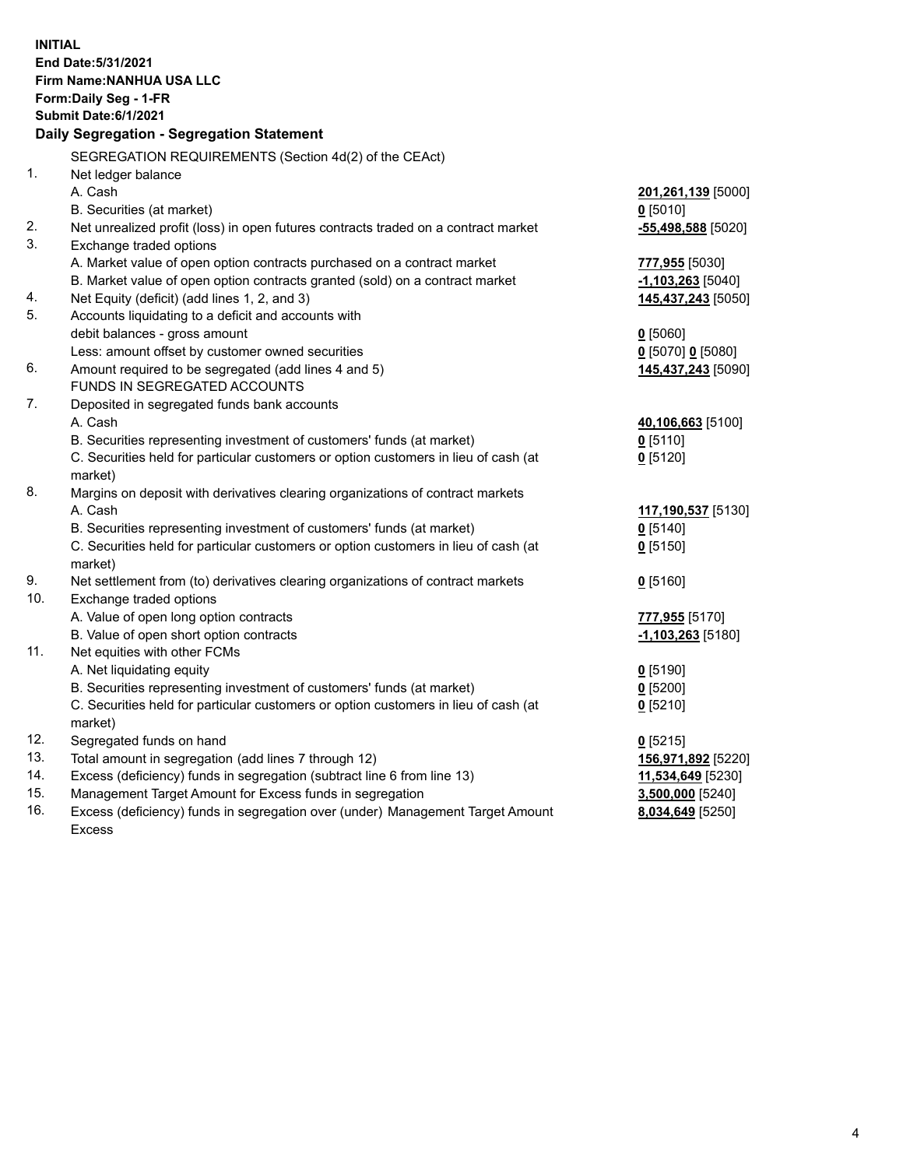| <b>INITIAL</b> | End Date: 5/31/2021                                                                            |                      |
|----------------|------------------------------------------------------------------------------------------------|----------------------|
|                | Firm Name: NANHUA USA LLC                                                                      |                      |
|                | Form: Daily Seg - 1-FR                                                                         |                      |
|                | Submit Date: 6/1/2021<br>Daily Segregation - Segregation Statement                             |                      |
|                |                                                                                                |                      |
|                | SEGREGATION REQUIREMENTS (Section 4d(2) of the CEAct)                                          |                      |
| 1.             | Net ledger balance                                                                             |                      |
|                | A. Cash                                                                                        | 201,261,139 [5000]   |
|                | B. Securities (at market)                                                                      | $0$ [5010]           |
| 2.             | Net unrealized profit (loss) in open futures contracts traded on a contract market             | $-55,498,588$ [5020] |
| 3.             | Exchange traded options                                                                        |                      |
|                | A. Market value of open option contracts purchased on a contract market                        | 777,955 [5030]       |
|                | B. Market value of open option contracts granted (sold) on a contract market                   | $-1,103,263$ [5040]  |
| 4.             | Net Equity (deficit) (add lines 1, 2, and 3)                                                   | 145,437,243 [5050]   |
| 5.             | Accounts liquidating to a deficit and accounts with                                            |                      |
|                | debit balances - gross amount                                                                  | $0$ [5060]           |
|                | Less: amount offset by customer owned securities                                               | 0 [5070] 0 [5080]    |
| 6.             | Amount required to be segregated (add lines 4 and 5)                                           | 145,437,243 [5090]   |
|                | FUNDS IN SEGREGATED ACCOUNTS                                                                   |                      |
| 7.             | Deposited in segregated funds bank accounts                                                    |                      |
|                | A. Cash                                                                                        | 40,106,663 [5100]    |
|                | B. Securities representing investment of customers' funds (at market)                          | $0$ [5110]           |
|                | C. Securities held for particular customers or option customers in lieu of cash (at            | $0$ [5120]           |
|                | market)                                                                                        |                      |
| 8.             | Margins on deposit with derivatives clearing organizations of contract markets                 |                      |
|                | A. Cash                                                                                        | 117,190,537 [5130]   |
|                | B. Securities representing investment of customers' funds (at market)                          | $0$ [5140]           |
|                | C. Securities held for particular customers or option customers in lieu of cash (at<br>market) | $0$ [5150]           |
| 9.             | Net settlement from (to) derivatives clearing organizations of contract markets                | $0$ [5160]           |
| 10.            | Exchange traded options                                                                        |                      |
|                | A. Value of open long option contracts                                                         | 777,955 [5170]       |
|                | B. Value of open short option contracts                                                        | $-1,103,263$ [5180]  |
| 11.            | Net equities with other FCMs                                                                   |                      |
|                | A. Net liquidating equity                                                                      | 0 <sup>[5190]</sup>  |
|                | B. Securities representing investment of customers' funds (at market)                          | $0$ [5200]           |
|                | C. Securities held for particular customers or option customers in lieu of cash (at            | $0$ [5210]           |
|                | market)                                                                                        |                      |
| 12.            | Segregated funds on hand                                                                       | $0$ [5215]           |
| 13.            | Total amount in segregation (add lines 7 through 12)                                           | 156,971,892 [5220]   |
| 14.            | Excess (deficiency) funds in segregation (subtract line 6 from line 13)                        | 11,534,649 [5230]    |
| 15.            | Management Target Amount for Excess funds in segregation                                       | 3,500,000 [5240]     |
| 16.            | Excess (deficiency) funds in segregation over (under) Management Target Amount                 | 8,034,649 [5250]     |
|                | <b>Excess</b>                                                                                  |                      |